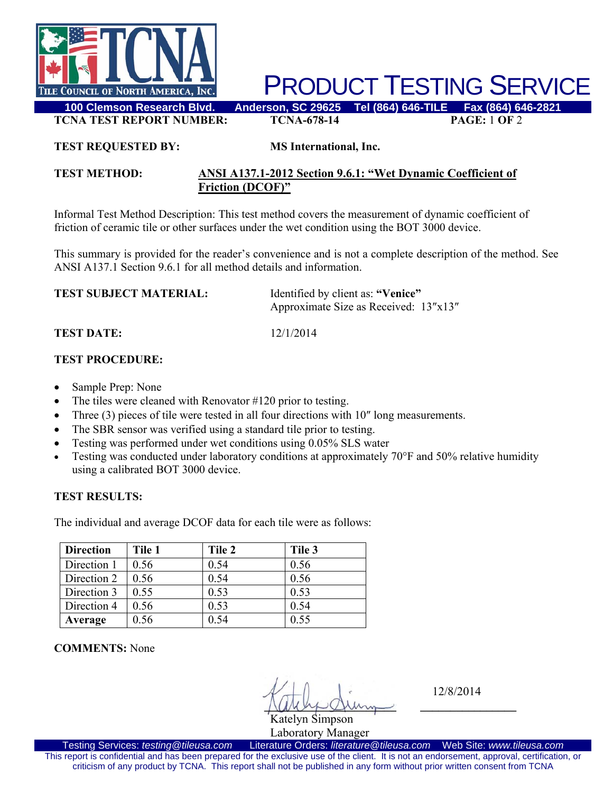

PRODUCT TESTING SERVICE

**TCNA TEST REPORT NUMBER: TCNA-678-14 PAGE:** 1 **OF** 2

#### **TEST REQUESTED BY: MS International, Inc.**

### **TEST METHOD: ANSI A137.1-2012 Section 9.6.1: "Wet Dynamic Coefficient of Friction (DCOF)"**

Informal Test Method Description: This test method covers the measurement of dynamic coefficient of friction of ceramic tile or other surfaces under the wet condition using the BOT 3000 device.

This summary is provided for the reader's convenience and is not a complete description of the method. See ANSI A137.1 Section 9.6.1 for all method details and information.

| <b>TEST SUBJECT MATERIAL:</b> | Identified by client as: "Venice"     |  |
|-------------------------------|---------------------------------------|--|
|                               | Approximate Size as Received: 13"x13" |  |

**TEST DATE:** 12/1/2014

## **TEST PROCEDURE:**

- Sample Prep: None
- The tiles were cleaned with Renovator #120 prior to testing.
- Three (3) pieces of tile were tested in all four directions with 10" long measurements.
- The SBR sensor was verified using a standard tile prior to testing.
- Testing was performed under wet conditions using 0.05% SLS water
- Testing was conducted under laboratory conditions at approximately 70°F and 50% relative humidity using a calibrated BOT 3000 device.

### **TEST RESULTS:**

The individual and average DCOF data for each tile were as follows:

| <b>Direction</b> | Tile 1 | Tile 2 | Tile 3 |
|------------------|--------|--------|--------|
| Direction 1      | 0.56   | 0.54   | 0.56   |
| Direction 2      | 0.56   | 0.54   | 0.56   |
| Direction 3      | 0.55   | 0.53   | 0.53   |
| Direction 4      | 0.56   | 0.53   | 0.54   |
| Average          | 0.56   | 0.54   | 0.55   |

**COMMENTS:** None

 $\sqrt{M\omega}$ Katelyn Simpson

12/8/2014

Laboratory Manager<br>Literature Orders: literature@tileusa.com Testing Services: *testing@tileusa.com* Literature Orders: *literature@tileusa.com* Web Site: *www.tileusa.com* This report is confidential and has been prepared for the exclusive use of the client. It is not an endorsement, approval, certification, or criticism of any product by TCNA. This report shall not be published in any form without prior written consent from TCNA